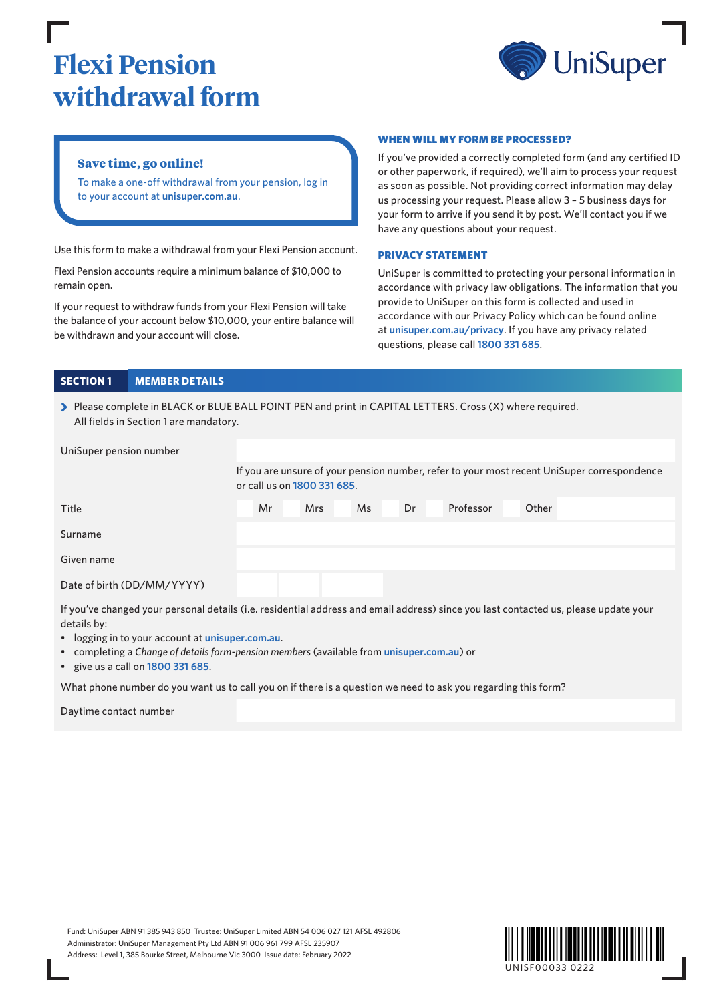# **Flexi Pension withdrawal form**



## **Save time, go online!**

To make a one-off withdrawal from your pension, log in to your account at **[unisuper.com.au](http://www.unisuper.com.au)** .

Use this form to make a withdrawal from your Flexi Pension account.

Flexi Pension accounts require a minimum balance of \$10,000 to remain open.

If your request to withdraw funds from your Flexi Pension will take the balance of your account below \$10,000, your entire balance will be withdrawn and your account will close.

#### WHEN WILL MY FORM BE PROCESSED?

If you've provided a correctly completed form (and any certified ID or other paperwork, if required), we'll aim to process your request as soon as possible. Not providing correct information may delay us processing your request. Please allow 3 – 5 business days for your form to arrive if you send it by post. We'll contact you if we have any questions about your request.

#### PRIVACY STATEMENT

UniSuper is committed to protecting your personal information in accordance with privacy law obligations. The information that you provide to UniSuper on this form is collected and used in accordance with our Privacy Policy which can be found online at **[unisuper.com.au/privacy](http://unisuper.com.au/privacy)** . If you have any privacy related questions, please call **1800 331 685**.

### **SECTION 1 MEMBER DETAILS**

> Please complete in BLACK or BLUE BALL POINT PEN and print in CAPITAL LETTERS. Cross (X) where required. All fields in Section 1 are mandatory.

| UniSuper pension number                                                                                                             |  |                                                                                                                            |  |            |  |     |  |    |           |  |       |  |  |  |
|-------------------------------------------------------------------------------------------------------------------------------------|--|----------------------------------------------------------------------------------------------------------------------------|--|------------|--|-----|--|----|-----------|--|-------|--|--|--|
|                                                                                                                                     |  | If you are unsure of your pension number, refer to your most recent UniSuper correspondence<br>or call us on 1800 331 685. |  |            |  |     |  |    |           |  |       |  |  |  |
| Title                                                                                                                               |  | Mr                                                                                                                         |  | <b>Mrs</b> |  | Ms. |  | Dr | Professor |  | Other |  |  |  |
| Surname                                                                                                                             |  |                                                                                                                            |  |            |  |     |  |    |           |  |       |  |  |  |
| Given name                                                                                                                          |  |                                                                                                                            |  |            |  |     |  |    |           |  |       |  |  |  |
| Date of birth (DD/MM/YYYY)                                                                                                          |  |                                                                                                                            |  |            |  |     |  |    |           |  |       |  |  |  |
| If you've changed your personal details (i.e. residential address and email address) since you last contacted us please undate your |  |                                                                                                                            |  |            |  |     |  |    |           |  |       |  |  |  |

If you've changed your personal details (i.e. residential address and email address) since you last contacted us, please update your details by:

- logging in to your account at **[unisuper.com.au](http://unisuper.com.au)** .
- completing a *Change of details form-pension members* (available from **[unisuper.com.au](http://unisuper.com.au)** ) or
- give us a call on **1800 331 685**.

What phone number do you want us to call you on if there is a question we need to ask you regarding this form?

Daytime contact number

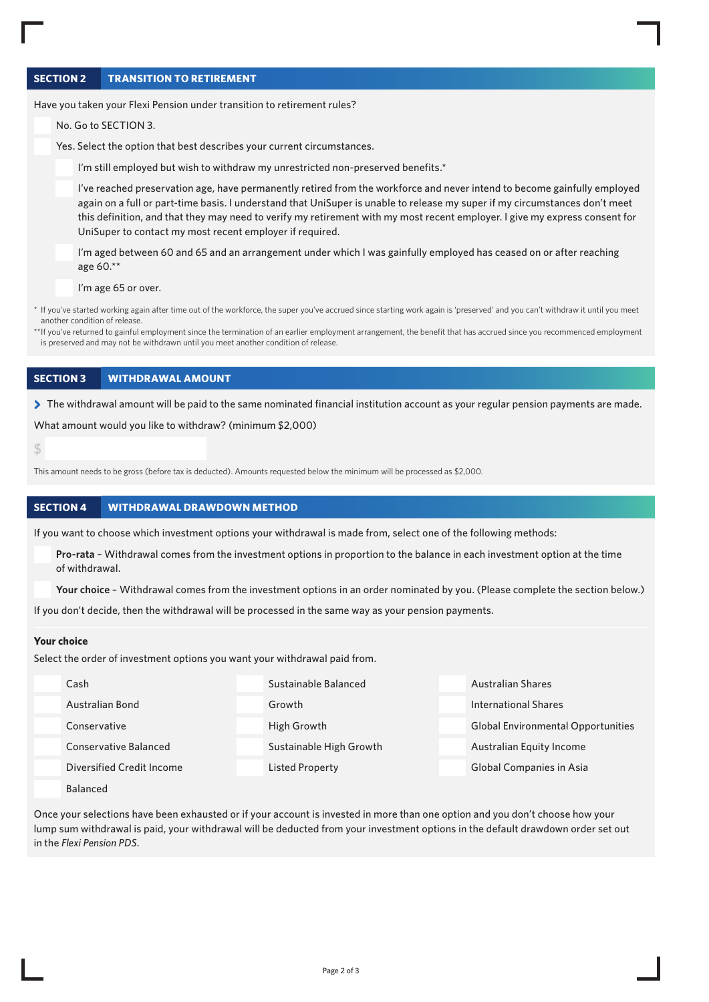## **SECTION 2 TRANSITION TO RETIREMENT**

Have you taken your Flexi Pension under transition to retirement rules?

No. Go to SECTION 3.

Yes. Select the option that best describes your current circumstances.

I'm still employed but wish to withdraw my unrestricted non-preserved benefits.\*

I've reached preservation age, have permanently retired from the workforce and never intend to become gainfully employed again on a full or part-time basis. I understand that UniSuper is unable to release my super if my circumstances don't meet this definition, and that they may need to verify my retirement with my most recent employer. I give my express consent for UniSuper to contact my most recent employer if required.

I'm aged between 60 and 65 and an arrangement under which I was gainfully employed has ceased on or after reaching age 60.\*\*

I'm age 65 or over.

\* If you've started working again after time out of the workforce, the super you've accrued since starting work again is 'preserved' and you can't withdraw it until you meet another condition of release.

\*\*If you've returned to gainful employment since the termination of an earlier employment arrangement, the benefit that has accrued since you recommenced employment is preserved and may not be withdrawn until you meet another condition of release.

#### **SECTION 3 WITHDRAWAL AMOUNT**

> The withdrawal amount will be paid to the same nominated financial institution account as your regular pension payments are made.

What amount would you like to withdraw? (minimum \$2,000)

**\$** 

This amount needs to be gross (before tax is deducted). Amounts requested below the minimum will be processed as \$2,000.

#### **SECTION 4 WITHDRAWAL DRAWDOWN METHOD**

If you want to choose which investment options your withdrawal is made from, select one of the following methods:

**Pro-rata** – Withdrawal comes from the investment options in proportion to the balance in each investment option at the time of withdrawal.

**Your choice** – Withdrawal comes from the investment options in an order nominated by you. (Please complete the section below.)

If you don't decide, then the withdrawal will be processed in the same way as your pension payments.

#### **Your choice**

Select the order of investment options you want your withdrawal paid from.

| Cash                             | Sustainable Balanced    | Australian Shares                         |
|----------------------------------|-------------------------|-------------------------------------------|
| Australian Bond                  | Growth                  | <b>International Shares</b>               |
| Conservative                     | High Growth             | <b>Global Environmental Opportunities</b> |
| <b>Conservative Balanced</b>     | Sustainable High Growth | Australian Equity Income                  |
| <b>Diversified Credit Income</b> | <b>Listed Property</b>  | Global Companies in Asia                  |
| <b>Balanced</b>                  |                         |                                           |

Once your selections have been exhausted or if your account is invested in more than one option and you don't choose how your lump sum withdrawal is paid, your withdrawal will be deducted from your investment options in the default drawdown order set out in the *Flexi Pension PDS*.